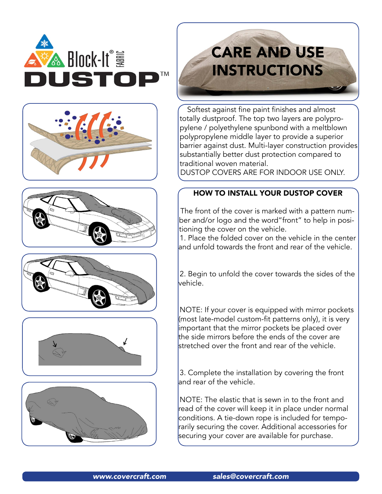











# **CARE AND USE INSTRUCTIONS**

Softest against fine paint finishes and almost totally dustproof. The top two layers are polypropylene / polyethylene spunbond with a meltblown polypropylene middle layer to provide a superior barrier against dust. Multi-layer construction provides substantially better dust protection compared to traditional woven material.

DUSTOP COVERS ARE FOR INDOOR USE ONLY.

## HOW TO INSTALL YOUR DUSTOP COVER

The front of the cover is marked with a pattern number and/or logo and the word"front" to help in positioning the cover on the vehicle.

1. Place the folded cover on the vehicle in the center and unfold towards the front and rear of the vehicle.

2. Begin to unfold the cover towards the sides of the vehicle.

NOTE: If your cover is equipped with mirror pockets (most late-model custom-fit patterns only), it is very important that the mirror pockets be placed over the side mirrors before the ends of the cover are stretched over the front and rear of the vehicle.

3. Complete the installation by covering the front and rear of the vehicle.

NOTE: The elastic that is sewn in to the front and read of the cover will keep it in place under normal conditions. A tie-down rope is included for temporarily securing the cover. Additional accessories for securing your cover are available for purchase.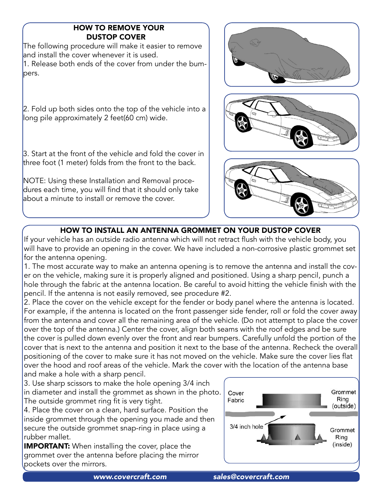# HOW TO REMOVE YOUR DUSTOP COVER

The following procedure will make it easier to remove and install the cover whenever it is used. 1. Release both ends of the cover from under the bumpers.

2. Fold up both sides onto the top of the vehicle into a long pile approximately 2 feet(60 cm) wide.

3. Start at the front of the vehicle and fold the cover in three foot (1 meter) folds from the front to the back.

NOTE: Using these Installation and Removal procedures each time, you will find that it should only take about a minute to install or remove the cover.







# HOW TO INSTALL AN ANTENNA GROMMET ON YOUR DUSTOP COVER

If your vehicle has an outside radio antenna which will not retract flush with the vehicle body, you will have to provide an opening in the cover. We have included a non-corrosive plastic grommet set for the antenna opening.

1. The most accurate way to make an antenna opening is to remove the antenna and install the cover on the vehicle, making sure it is properly aligned and positioned. Using a sharp pencil, punch a hole through the fabric at the antenna location. Be careful to avoid hitting the vehicle finish with the pencil. If the antenna is not easily removed, see procedure #2.

2. Place the cover on the vehicle except for the fender or body panel where the antenna is located. For example, if the antenna is located on the front passenger side fender, roll or fold the cover away from the antenna and cover all the remaining area of the vehicle. (Do not attempt to place the cover over the top of the antenna.) Center the cover, align both seams with the roof edges and be sure the cover is pulled down evenly over the front and rear bumpers. Carefully unfold the portion of the cover that is next to the antenna and position it next to the base of the antenna. Recheck the overall positioning of the cover to make sure it has not moved on the vehicle. Make sure the cover lies flat over the hood and roof areas of the vehicle. Mark the cover with the location of the antenna base and make a hole with a sharp pencil.

3. Use sharp scissors to make the hole opening 3/4 inch in diameter and install the grommet as shown in the photo. The outside grommet ring fit is very tight.

4. Place the cover on a clean, hard surface. Position the inside grommet through the opening you made and then secure the outside grommet snap-ring in place using a rubber mallet.

**IMPORTANT:** When installing the cover, place the grommet over the antenna before placing the mirror pockets over the mirrors.

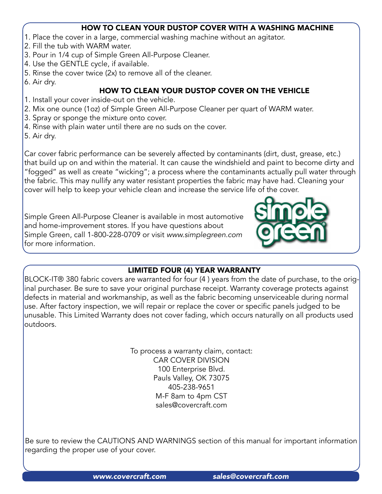#### HOW TO CLEAN YOUR DUSTOP COVER WITH A WASHING MACHINE

- 1. Place the cover in a large, commercial washing machine without an agitator.
- 2. Fill the tub with WARM water.
- 3. Pour in 1/4 cup of Simple Green All-Purpose Cleaner.
- 4. Use the GENTLE cycle, if available.
- 5. Rinse the cover twice (2x) to remove all of the cleaner.
- 6. Air dry.

# HOW TO CLEAN YOUR DUSTOP COVER ON THE VEHICLE

- 1. Install your cover inside-out on the vehicle.
- 2. Mix one ounce (1oz) of Simple Green All-Purpose Cleaner per quart of WARM water.
- 3. Spray or sponge the mixture onto cover.
- 4. Rinse with plain water until there are no suds on the cover.
- 5. Air dry.

Car cover fabric performance can be severely affected by contaminants (dirt, dust, grease, etc.) that build up on and within the material. It can cause the windshield and paint to become dirty and "fogged" as well as create "wicking"; a process where the contaminants actually pull water through the fabric. This may nullify any water resistant properties the fabric may have had. Cleaning your cover will help to keep your vehicle clean and increase the service life of the cover.

Simple Green All-Purpose Cleaner is available in most automotive and home-improvement stores. If you have questions about Simple Green, call 1-800-228-0709 or visit *<www.simplegreen.com>* for more information.



# LIMITED FOUR (4) YEAR WARRANTY

BLOCK-IT® 380 fabric covers are warranted for four (4 ) years from the date of purchase, to the original purchaser. Be sure to save your original purchase receipt. Warranty coverage protects against defects in material and workmanship, as well as the fabric becoming unserviceable during normal use. After factory inspection, we will repair or replace the cover or specific panels judged to be unusable. This Limited Warranty does not cover fading, which occurs naturally on all products used outdoors.

> To process a warranty claim, contact: CAR COVER DIVISION 100 Enterprise Blvd. Pauls Valley, OK 73075 405-238-9651 M-F 8am to 4pm CST [sales@covercraft.com](mailto:sales@covercraft.com)

Be sure to review the CAUTIONS AND WARNINGS section of this manual for important information regarding the proper use of your cover.